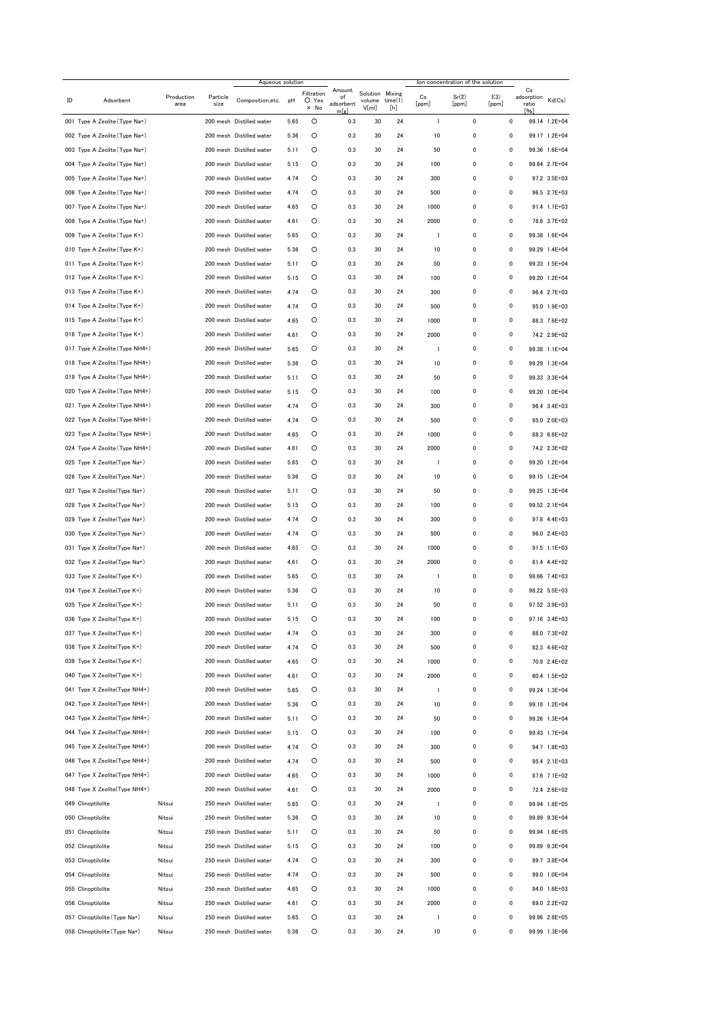|    |                                | Aqueous solution   |                  |                          |      |                     |                           |                           | Ion concentration of the solution |                          |                |               |                           |               |
|----|--------------------------------|--------------------|------------------|--------------------------|------|---------------------|---------------------------|---------------------------|-----------------------------------|--------------------------|----------------|---------------|---------------------------|---------------|
| ID | Adsorbent                      | Production<br>area | Particle<br>size | Composition, etc.        | рH   | Filtration<br>O:Yes | Amount<br>of<br>adsorbent | Solution Mixing<br>volume | time(1)                           | Cs<br>[ppm]              | Sr(2)<br>[ppm] | I(3)<br>[ppm] | Cs<br>adsorption<br>ratio | Kd(Cs)        |
|    | 001 Type A Zeolite (Type Na+)  |                    |                  | 200 mesh Distilled water | 5.65 | $\times :$ No<br>O  | m[g]<br>0.3               | V[ml]<br>30               | [h]<br>24                         | $\overline{1}$           | 0              | 0             | [%]                       | 99.14 1.2E+04 |
|    | 002 Type A Zeolite (Type Na+)  |                    |                  | 200 mesh Distilled water | 5.36 | O                   | 0.3                       | 30                        | 24                                | 10                       | 0              | 0             |                           | 99.17 1.2E+04 |
|    | 003 Type A Zeolite (Type Na+)  |                    |                  | 200 mesh Distilled water | 5.11 | O                   | 0.3                       | 30                        | 24                                | 50                       | 0              | 0             |                           | 99.36 1.6E+04 |
|    | 004 Type A Zeolite (Type Na+)  |                    |                  | 200 mesh Distilled water | 5.15 | O                   | 0.3                       | 30                        | 24                                | 100                      | 0              | 0             |                           | 99.64 2.7E+04 |
|    | 005 Type A Zeolite (Type Na+)  |                    |                  | 200 mesh Distilled water | 4.74 | O                   | 0.3                       | 30                        | 24                                | 300                      | 0              | 0             |                           | 97.2 3.5E+03  |
|    | 006 Type A Zeolite (Type Na+)  |                    |                  | 200 mesh Distilled water | 4.74 | O                   | 0.3                       | 30                        | 24                                | 500                      | 0              | 0             |                           | 96.5 2.7E+03  |
|    | 007 Type A Zeolite (Type Na+)  |                    |                  | 200 mesh Distilled water | 4.65 | O                   | 0.3                       | 30                        | 24                                | 1000                     | 0              | 0             |                           | 91.4 1.1E+03  |
|    | 008 Type A Zeolite (Type Na+)  |                    |                  | 200 mesh Distilled water | 4.61 | O                   | 0.3                       | 30                        | 24                                | 2000                     | 0              | 0             |                           | 78.6 3.7E+02  |
|    | 009 Type A Zeolite (Type K+)   |                    |                  | 200 mesh Distilled water | 5.65 | O                   | 0.3                       | 30                        | 24                                | $\overline{1}$           | 0              | 0             |                           | 99.38 1.6E+04 |
|    | 010 Type A Zeolite (Type K+)   |                    |                  | 200 mesh Distilled water | 5.36 | O                   | 0.3                       | 30                        | 24                                | 10                       | 0              | 0             |                           | 99.29 1.4E+04 |
|    | 011 Type A Zeolite (Type K+)   |                    |                  | 200 mesh Distilled water | 5.11 | O                   | 0.3                       | 30                        | 24                                | 50                       | 0              | 0             |                           | 99.33 1.5E+04 |
|    | 012 Type A Zeolite (Type K+)   |                    |                  | 200 mesh Distilled water | 5.15 | O                   | 0.3                       | 30                        | 24                                | 100                      | 0              | 0             |                           | 99.20 1.2E+04 |
|    | 013 Type A Zeolite (Type K+)   |                    |                  | 200 mesh Distilled water | 4.74 | O                   | 0.3                       | 30                        | 24                                | 300                      | 0              | 0             |                           | 96.4 2.7E+03  |
|    | 014 Type A Zeolite (Type K+)   |                    |                  | 200 mesh Distilled water | 4.74 | O                   | 0.3                       | 30                        | 24                                | 500                      | 0              | 0             |                           | 95.0 1.9E+03  |
|    | 015 Type A Zeolite (Type K+)   |                    |                  | 200 mesh Distilled water | 4.65 | O                   | 0.3                       | 30                        | 24                                | 1000                     | 0              | 0             |                           | 88.3 7.6E+02  |
|    | 016 Type A Zeolite (Type K+)   |                    |                  | 200 mesh Distilled water | 4.61 | O                   | 0.3                       | 30                        | 24                                | 2000                     | 0              | 0             |                           | 74.2 2.9E+02  |
|    | 017 Type A Zeolite (Type NH4+) |                    |                  | 200 mesh Distilled water | 5.65 | O                   | 0.3                       | 30                        | 24                                | $\overline{1}$           | 0              | 0             |                           | 99.38 1.1E+04 |
|    | 018 Type A Zeolite (Type NH4+) |                    |                  | 200 mesh Distilled water | 5.36 | O                   | 0.3                       | 30                        | 24                                | 10                       | 0              | 0             |                           | 99.29 1.3E+04 |
|    | 019 Type A Zeolite (Type NH4+) |                    |                  | 200 mesh Distilled water | 5.11 | O                   | 0.3                       | 30                        | 24                                | 50                       | 0              | 0             |                           | 99.33 3.3E+04 |
|    | 020 Type A Zeolite (Type NH4+) |                    |                  | 200 mesh Distilled water | 5.15 | O                   | 0.3                       | 30                        | 24                                | 100                      | 0              | 0             |                           | 99.20 1.0E+04 |
|    | 021 Type A Zeolite (Type NH4+) |                    |                  | 200 mesh Distilled water | 4.74 | $\circ$             | 0.3                       | 30                        | 24                                | 300                      | 0              | 0             |                           | 96.4 3.4E+03  |
|    | 022 Type A Zeolite (Type NH4+) |                    |                  | 200 mesh Distilled water | 4.74 | $\circ$             | 0.3                       | 30                        | 24                                | 500                      | 0              | 0             |                           | 95.0 2.0E+03  |
|    | 023 Type A Zeolite (Type NH4+) |                    |                  | 200 mesh Distilled water | 4.65 | $\circ$             | 0.3                       | 30                        | 24                                | 1000                     | 0              | 0             |                           | 88.3 6.6E+02  |
|    | 024 Type A Zeolite (Type NH4+) |                    |                  | 200 mesh Distilled water | 4.61 | $\circ$             | 0.3                       | 30                        | 24                                | 2000                     | 0              | 0             |                           | 74.2 2.3E+02  |
|    | 025 Type X Zeolite(Type Na+)   |                    |                  | 200 mesh Distilled water | 5.65 | O                   | 0.3                       | 30                        | 24                                | $\overline{\phantom{a}}$ | 0              | 0             |                           | 99.20 1.2E+04 |
|    | 026 Type X Zeolite(Type Na+)   |                    |                  | 200 mesh Distilled water | 5.36 | $\circ$             | 0.3                       | 30                        | 24                                | 10                       | 0              | 0             |                           | 99.15 1.2E+04 |
|    | 027 Type X Zeolite(Type Na+)   |                    |                  | 200 mesh Distilled water | 5.11 | O                   | 0.3                       | 30                        | 24                                | 50                       | 0              | 0             |                           | 99.25 1.3E+04 |
|    | 028 Type X Zeolite(Type Na+)   |                    |                  | 200 mesh Distilled water | 5.15 | O                   | 0.3                       | 30                        | 24                                | 100                      | 0              | 0             |                           | 99.52 2.1E+04 |
|    | 029 Type X Zeolite(Type Na+)   |                    |                  | 200 mesh Distilled water | 4.74 | O                   | 0.3                       | 30                        | 24                                | 300                      | 0              | 0             |                           | 97.8 4.4E+03  |
|    | 030 Type X Zeolite(Type Na+)   |                    |                  | 200 mesh Distilled water | 4.74 | O                   | 0.3                       | 30                        | 24                                | 500                      | 0              | 0             |                           | 96.0 2.4E+03  |
|    | 031 Type X Zeolite(Type Na+)   |                    |                  | 200 mesh Distilled water | 4.65 | O                   | 0.3                       | 30                        | 24                                | 1000                     | 0              | 0             |                           | 91.5 1.1E+03  |
|    | 032 Type X Zeolite(Type Na+)   |                    |                  | 200 mesh Distilled water | 4.61 | O                   | 0.3                       | 30                        | 24                                | 2000                     | 0              | 0             |                           | 81.4 4.4E+02  |
|    | 033 Type X Zeolite(Type K+)    |                    |                  | 200 mesh Distilled water | 5.65 | O                   | 0.3                       | 30                        | 24                                | $\overline{1}$           | 0              | 0             |                           | 98.66 7.4E+03 |
|    | 034 Type X Zeolite(Type K+)    |                    |                  | 200 mesh Distilled water | 5.36 | O                   | 0.3                       | 30                        | 24                                | 10                       | 0              | 0             |                           | 98.22 5.5E+03 |
|    | 035 Type X Zeolite(Type K+)    |                    |                  | 200 mesh Distilled water | 5.11 | O                   | 0.3                       | 30                        | 24                                | 50                       | 0              | 0             |                           | 97.52 3.9E+03 |
|    | 036 Type X Zeolite(Type K+)    |                    |                  | 200 mesh Distilled water | 5.15 | O                   | 0.3                       | 30                        | 24                                | 100                      | 0              | 0             |                           | 97.16 3.4E+03 |
|    | 037 Type X Zeolite(Type K+)    |                    |                  | 200 mesh Distilled water | 4.74 | O                   | 0.3                       | 30                        | 24                                | 300                      | 0              | 0             |                           | 88.0 7.3E+02  |
|    | 038 Type X Zeolite(Type K+)    |                    |                  | 200 mesh Distilled water | 4.74 | O                   | 0.3                       | 30                        | 24                                | 500                      | 0              | 0             |                           | 82.3 4.6E+02  |
|    | 039 Type X Zeolite(Type K+)    |                    |                  | 200 mesh Distilled water | 4.65 | O                   | 0.3                       | 30                        | 24                                | 1000                     | 0              | 0             |                           | 70.9 2.4E+02  |
|    | 040 Type X Zeolite(Type K+)    |                    |                  | 200 mesh Distilled water | 4.61 | O                   | 0.3                       | 30                        | 24                                | 2000                     | 0              | 0             |                           | 60.4 1.5E+02  |
|    | 041 Type X Zeolite(Type NH4+)  |                    |                  | 200 mesh Distilled water | 5.65 | O                   | 0.3                       | 30                        | 24                                | $\overline{\phantom{a}}$ | 0              | 0             |                           | 99.24 1.3E+04 |
|    | 042 Type X Zeolite(Type NH4+)  |                    |                  | 200 mesh Distilled water | 5.36 | O                   | 0.3                       | 30                        | 24                                | 10                       | 0              | 0             |                           | 99.18 1.2E+04 |
|    | 043 Type X Zeolite(Type NH4+)  |                    |                  | 200 mesh Distilled water | 5.11 | O                   | 0.3                       | 30                        | 24                                | 50                       | 0              | 0             |                           | 99.26 1.3E+04 |
|    | 044 Type X Zeolite(Type NH4+)  |                    |                  | 200 mesh Distilled water | 5.15 | O                   | 0.3                       | 30                        | 24                                | 100                      | 0              | 0             |                           | 99.43 1.7E+04 |
|    | 045 Type X Zeolite(Type NH4+)  |                    |                  | 200 mesh Distilled water | 4.74 | O                   | 0.3                       | 30                        | 24                                | 300                      | 0              | 0             |                           | 94.7 1.8E+03  |
|    | 046 Type X Zeolite(Type NH4+)  |                    |                  | 200 mesh Distilled water | 4.74 | $\circ$             | 0.3                       | 30                        | 24                                | 500                      | 0              | 0             |                           | 95.4 2.1E+03  |
|    | 047 Type X Zeolite(Type NH4+)  |                    |                  | 200 mesh Distilled water | 4.65 | $\circ$             | 0.3                       | 30                        | 24                                | 1000                     | 0              | 0             |                           | 87.6 7.1E+02  |
|    | 048 Type X Zeolite(Type NH4+)  |                    |                  | 200 mesh Distilled water | 4.61 | $\circ$             | 0.3                       | 30                        | 24                                | 2000                     | 0              | 0             |                           | 72.4 2.6E+02  |
|    | 049 Clinoptilolite             | Nitsui             |                  | 250 mesh Distilled water | 5.65 | $\circ$             | 0.3                       | 30                        | 24                                | $\overline{\phantom{a}}$ | 0              | 0             |                           | 99.94 1.8E+05 |
|    | 050 Clinoptilolite             | Nitsui             |                  | 250 mesh Distilled water | 5.36 | $\circ$             | 0.3                       | 30                        | 24                                | 10                       | 0              | 0             |                           | 99.89 9.3E+04 |
|    | 051 Clinoptilolite             | Nitsui             |                  | 250 mesh Distilled water | 5.11 | $\circ$             | 0.3                       | 30                        | 24                                | 50                       | 0              | 0             |                           | 99.94 1.6E+05 |
|    | 052 Clinoptilolite             | Nitsui             |                  | 250 mesh Distilled water | 5.15 | $\circ$             | 0.3                       | 30                        | 24                                | 100                      | 0              | 0             |                           | 99.89 9.3E+04 |
|    | 053 Clinoptilolite             | Nitsui             |                  | 250 mesh Distilled water | 4.74 | $\circ$             | 0.3                       | 30                        | 24                                | 300                      | 0              | 0             |                           | 99.7 3.8E+04  |
|    | 054 Clinoptilolite             | Nitsui             |                  | 250 mesh Distilled water | 4.74 | $\circ$             | 0.3                       | 30                        | 24                                | 500                      | 0              | 0             |                           | 99.0 1.0E+04  |
|    | 055 Clinoptilolite             | Nitsui             |                  | 250 mesh Distilled water | 4.65 | $\circ$             | 0.3                       | 30                        | 24                                | 1000                     | 0              | 0             |                           | 94.0 1.6E+03  |
|    | 056 Clinoptilolite             | Nitsui             |                  | 250 mesh Distilled water | 4.61 | O                   | 0.3                       | 30                        | 24                                | 2000                     | 0              | 0             |                           | 69.0 2.2E+02  |
|    | 057 Clinoptilolite (Type Na+)  | Nitsui             |                  | 250 mesh Distilled water | 5.65 | O                   | 0.3                       | 30                        | 24                                | $\overline{1}$           | 0              | 0             |                           | 99.96 2.8E+05 |
|    | 058 Clinoptilolite (Type Na+)  | Nitsui             |                  | 250 mesh Distilled water | 5.36 | O                   | 0.3                       | 30                        | 24                                | 10                       | 0              | 0             |                           | 99.99 1.3E+06 |